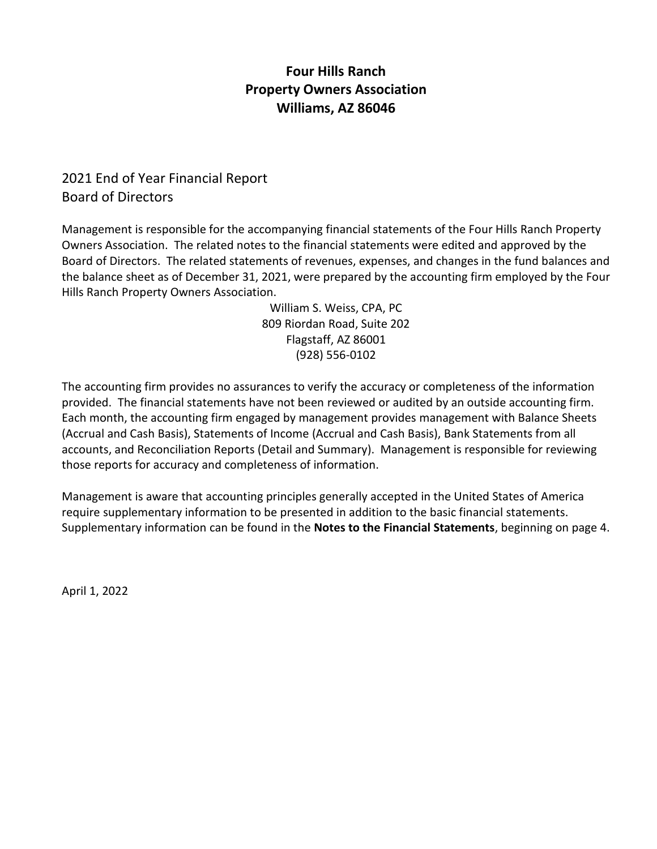# **Four Hills Ranch Property Owners Association Williams, AZ 86046**

## 2021 End of Year Financial Report Board of Directors

Management is responsible for the accompanying financial statements of the Four Hills Ranch Property Owners Association. The related notes to the financial statements were edited and approved by the Board of Directors. The related statements of revenues, expenses, and changes in the fund balances and the balance sheet as of December 31, 2021, were prepared by the accounting firm employed by the Four Hills Ranch Property Owners Association.

> William S. Weiss, CPA, PC 809 Riordan Road, Suite 202 Flagstaff, AZ 86001 (928) 556-0102

The accounting firm provides no assurances to verify the accuracy or completeness of the information provided. The financial statements have not been reviewed or audited by an outside accounting firm. Each month, the accounting firm engaged by management provides management with Balance Sheets (Accrual and Cash Basis), Statements of Income (Accrual and Cash Basis), Bank Statements from all accounts, and Reconciliation Reports (Detail and Summary). Management is responsible for reviewing those reports for accuracy and completeness of information.

Management is aware that accounting principles generally accepted in the United States of America require supplementary information to be presented in addition to the basic financial statements. Supplementary information can be found in the **Notes to the Financial Statements**, beginning on page 4.

April 1, 2022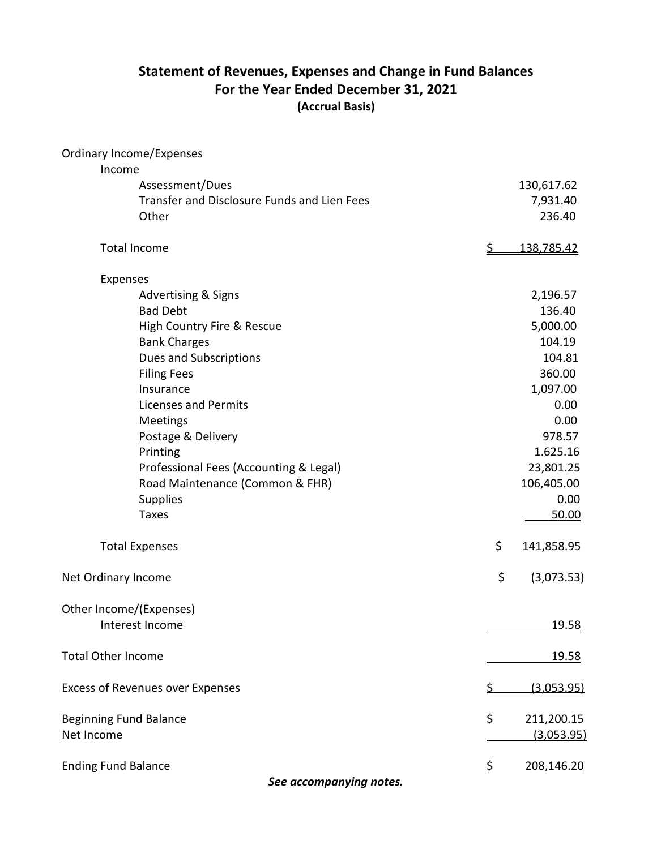# **Statement of Revenues, Expenses and Change in Fund Balances For the Year Ended December 31, 2021 (Accrual Basis)**

| <b>Ordinary Income/Expenses</b>             |           |            |
|---------------------------------------------|-----------|------------|
| Income                                      |           |            |
| Assessment/Dues                             |           | 130,617.62 |
| Transfer and Disclosure Funds and Lien Fees |           | 7,931.40   |
| Other                                       |           | 236.40     |
| <b>Total Income</b>                         | <u>\$</u> | 138,785.42 |
| Expenses                                    |           |            |
| <b>Advertising &amp; Signs</b>              |           | 2,196.57   |
| <b>Bad Debt</b>                             |           | 136.40     |
| High Country Fire & Rescue                  |           | 5,000.00   |
| <b>Bank Charges</b>                         |           | 104.19     |
| Dues and Subscriptions                      |           | 104.81     |
| <b>Filing Fees</b>                          |           | 360.00     |
| Insurance                                   |           | 1,097.00   |
| <b>Licenses and Permits</b>                 |           | 0.00       |
| Meetings                                    |           | 0.00       |
| Postage & Delivery                          |           | 978.57     |
| Printing                                    |           | 1.625.16   |
| Professional Fees (Accounting & Legal)      |           | 23,801.25  |
| Road Maintenance (Common & FHR)             |           | 106,405.00 |
| <b>Supplies</b>                             |           | 0.00       |
| <b>Taxes</b>                                |           | 50.00      |
| <b>Total Expenses</b>                       | \$        | 141,858.95 |
| Net Ordinary Income                         | \$        | (3,073.53) |
| Other Income/(Expenses)                     |           |            |
| Interest Income                             |           | 19.58      |
| <b>Total Other Income</b>                   |           | 19.58      |
| <b>Excess of Revenues over Expenses</b>     |           | (3,053.95) |
| <b>Beginning Fund Balance</b>               | \$        | 211,200.15 |
| Net Income                                  |           | (3,053.95) |
| <b>Ending Fund Balance</b>                  |           | 208,146.20 |

*See accompanying notes.*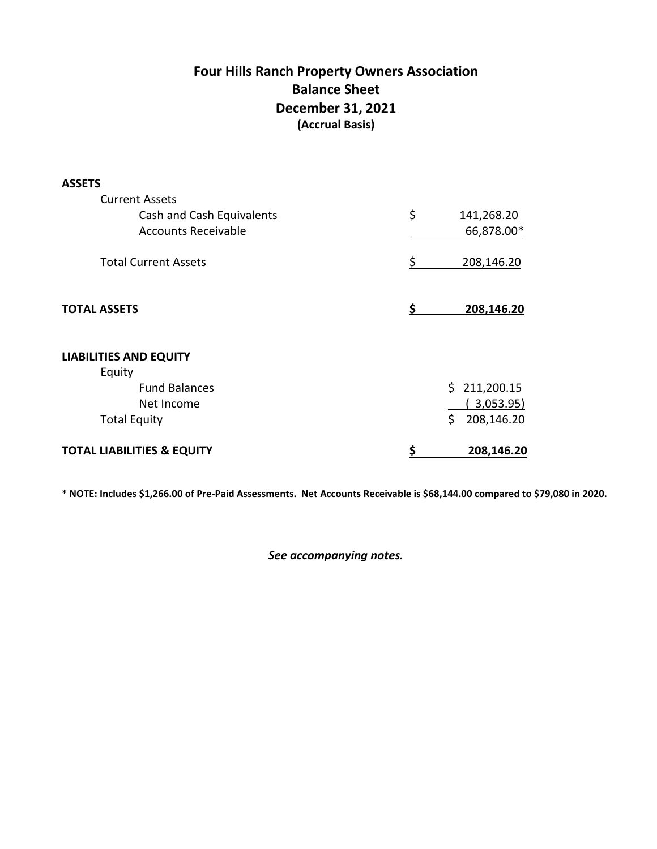# **Four Hills Ranch Property Owners Association Balance Sheet December 31, 2021 (Accrual Basis)**

| <b>ASSETS</b>                         |                  |
|---------------------------------------|------------------|
| <b>Current Assets</b>                 |                  |
| Cash and Cash Equivalents             | \$<br>141,268.20 |
| <b>Accounts Receivable</b>            | 66,878.00*       |
| <b>Total Current Assets</b>           | 208,146.20<br>S  |
| <b>TOTAL ASSETS</b>                   | 208,146.20<br>Ŝ. |
| <b>LIABILITIES AND EQUITY</b>         |                  |
| Equity                                |                  |
| <b>Fund Balances</b>                  | \$211,200.15     |
| Net Income                            | 3,053.95)        |
| <b>Total Equity</b>                   | \$<br>208,146.20 |
| <b>TOTAL LIABILITIES &amp; EQUITY</b> | \$<br>208,146.20 |

**\* NOTE: Includes \$1,266.00 of Pre-Paid Assessments. Net Accounts Receivable is \$68,144.00 compared to \$79,080 in 2020.**

*See accompanying notes.*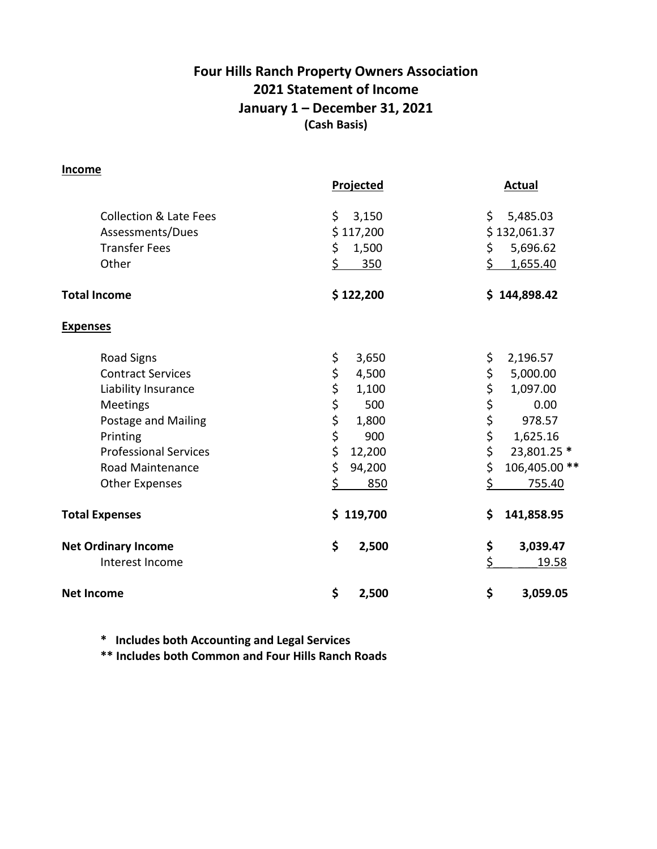# **Four Hills Ranch Property Owners Association 2021 Statement of Income January 1 – December 31, 2021 (Cash Basis)**

#### **Income**

|                                                       | <b>Projected</b>         | <b>Actual</b>                  |
|-------------------------------------------------------|--------------------------|--------------------------------|
| <b>Collection &amp; Late Fees</b><br>Assessments/Dues | \$<br>3,150<br>\$117,200 | \$<br>5,485.03<br>\$132,061.37 |
| <b>Transfer Fees</b>                                  | \$<br>1,500              | \$<br>5,696.62                 |
| Other                                                 | \$<br>350                | \$<br>1,655.40                 |
| <b>Total Income</b>                                   | \$122,200                | \$144,898.42                   |
| <b>Expenses</b>                                       |                          |                                |
| <b>Road Signs</b>                                     | \$<br>3,650              | \$<br>2,196.57                 |
| <b>Contract Services</b>                              | \$<br>4,500              | \$<br>5,000.00                 |
| Liability Insurance                                   | \$<br>1,100              | \$<br>1,097.00                 |
| <b>Meetings</b>                                       | \$<br>500                | \$\$\$<br>0.00                 |
| Postage and Mailing                                   | \$<br>1,800              | 978.57                         |
| Printing                                              | \$<br>900                | 1,625.16                       |
| <b>Professional Services</b>                          | \$<br>12,200             | \$<br>23,801.25 *              |
| <b>Road Maintenance</b>                               | \$<br>94,200             | \$<br>106,405.00 **            |
| <b>Other Expenses</b>                                 | 850                      | \$<br>755.40                   |
| <b>Total Expenses</b>                                 | \$119,700                | \$<br>141,858.95               |
| <b>Net Ordinary Income</b>                            | \$<br>2,500              | \$<br>3,039.47                 |
| Interest Income                                       |                          | \$<br><u>19.58</u>             |
| <b>Net Income</b>                                     | \$<br>2,500              | \$<br>3,059.05                 |

**\* Includes both Accounting and Legal Services**

**\*\* Includes both Common and Four Hills Ranch Roads**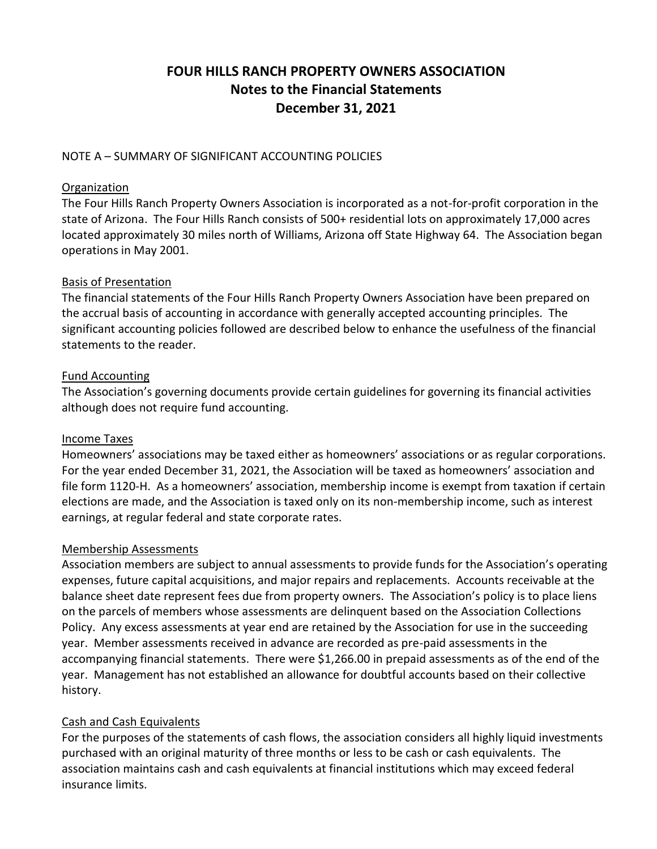# **FOUR HILLS RANCH PROPERTY OWNERS ASSOCIATION Notes to the Financial Statements December 31, 2021**

### NOTE A – SUMMARY OF SIGNIFICANT ACCOUNTING POLICIES

### Organization

The Four Hills Ranch Property Owners Association is incorporated as a not-for-profit corporation in the state of Arizona. The Four Hills Ranch consists of 500+ residential lots on approximately 17,000 acres located approximately 30 miles north of Williams, Arizona off State Highway 64. The Association began operations in May 2001.

#### Basis of Presentation

The financial statements of the Four Hills Ranch Property Owners Association have been prepared on the accrual basis of accounting in accordance with generally accepted accounting principles. The significant accounting policies followed are described below to enhance the usefulness of the financial statements to the reader.

#### Fund Accounting

The Association's governing documents provide certain guidelines for governing its financial activities although does not require fund accounting.

### Income Taxes

Homeowners' associations may be taxed either as homeowners' associations or as regular corporations. For the year ended December 31, 2021, the Association will be taxed as homeowners' association and file form 1120-H. As a homeowners' association, membership income is exempt from taxation if certain elections are made, and the Association is taxed only on its non-membership income, such as interest earnings, at regular federal and state corporate rates.

#### Membership Assessments

Association members are subject to annual assessments to provide funds for the Association's operating expenses, future capital acquisitions, and major repairs and replacements. Accounts receivable at the balance sheet date represent fees due from property owners. The Association's policy is to place liens on the parcels of members whose assessments are delinquent based on the Association Collections Policy. Any excess assessments at year end are retained by the Association for use in the succeeding year. Member assessments received in advance are recorded as pre-paid assessments in the accompanying financial statements. There were \$1,266.00 in prepaid assessments as of the end of the year. Management has not established an allowance for doubtful accounts based on their collective history.

### Cash and Cash Equivalents

For the purposes of the statements of cash flows, the association considers all highly liquid investments purchased with an original maturity of three months or less to be cash or cash equivalents. The association maintains cash and cash equivalents at financial institutions which may exceed federal insurance limits.